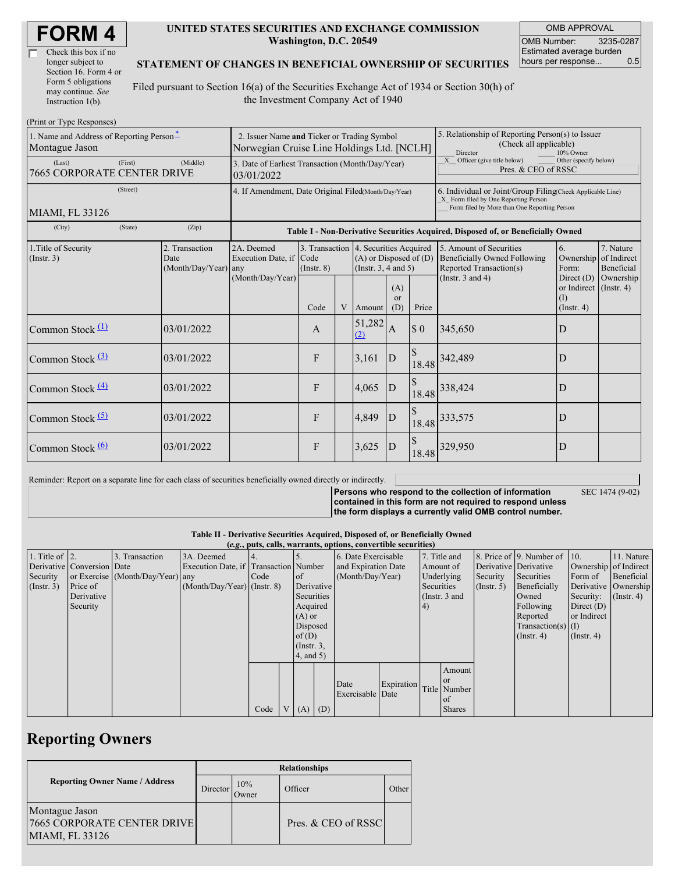| Check this box if no  |  |
|-----------------------|--|
| longer subject to     |  |
| Section 16. Form 4 or |  |
| Form 5 obligations    |  |
| may continue. See     |  |
| Instruction 1(b).     |  |

#### **UNITED STATES SECURITIES AND EXCHANGE COMMISSION Washington, D.C. 20549**

OMB APPROVAL OMB Number: 3235-0287 Estimated average burden hours per response... 0.5

### **STATEMENT OF CHANGES IN BENEFICIAL OWNERSHIP OF SECURITIES**

Filed pursuant to Section 16(a) of the Securities Exchange Act of 1934 or Section 30(h) of the Investment Company Act of 1940

| (Print or Type Responses)                                  |                                                                                           |                                                                                  |                 |   |                                                                                                 |                             |                                                                                                                                                    |                                                                                           |                                                              |                                        |
|------------------------------------------------------------|-------------------------------------------------------------------------------------------|----------------------------------------------------------------------------------|-----------------|---|-------------------------------------------------------------------------------------------------|-----------------------------|----------------------------------------------------------------------------------------------------------------------------------------------------|-------------------------------------------------------------------------------------------|--------------------------------------------------------------|----------------------------------------|
| 1. Name and Address of Reporting Person-<br>Montague Jason | 2. Issuer Name and Ticker or Trading Symbol<br>Norwegian Cruise Line Holdings Ltd. [NCLH] |                                                                                  |                 |   |                                                                                                 |                             | 5. Relationship of Reporting Person(s) to Issuer<br>(Check all applicable)<br>Director<br>10% Owner                                                |                                                                                           |                                                              |                                        |
| (First)<br>(Last)<br>7665 CORPORATE CENTER DRIVE           | 3. Date of Earliest Transaction (Month/Day/Year)<br>03/01/2022                            |                                                                                  |                 |   |                                                                                                 |                             | Officer (give title below)<br>X<br>Other (specify below)<br>Pres. & CEO of RSSC                                                                    |                                                                                           |                                                              |                                        |
| (Street)<br>MIAMI, FL 33126                                | 4. If Amendment, Date Original Filed(Month/Day/Year)                                      |                                                                                  |                 |   |                                                                                                 |                             | 6. Individual or Joint/Group Filing(Check Applicable Line)<br>X Form filed by One Reporting Person<br>Form filed by More than One Reporting Person |                                                                                           |                                                              |                                        |
| (State)<br>(City)                                          | (Zip)                                                                                     | Table I - Non-Derivative Securities Acquired, Disposed of, or Beneficially Owned |                 |   |                                                                                                 |                             |                                                                                                                                                    |                                                                                           |                                                              |                                        |
| 1. Title of Security<br>(Insert. 3)                        | 2. Transaction<br>Date<br>$(Month/Day/Year)$ any                                          | 2A. Deemed<br>Execution Date, if Code<br>(Month/Day/Year)                        | $($ Instr. $8)$ |   | 3. Transaction 4. Securities Acquired<br>$(A)$ or Disposed of $(D)$<br>(Instr. $3, 4$ and $5$ ) |                             |                                                                                                                                                    | 5. Amount of Securities<br><b>Beneficially Owned Following</b><br>Reported Transaction(s) | 6.<br>Ownership<br>Form:                                     | 7. Nature<br>of Indirect<br>Beneficial |
|                                                            |                                                                                           |                                                                                  | Code            | V | Amount                                                                                          | (A)<br><sub>or</sub><br>(D) | Price                                                                                                                                              | (Instr. $3$ and $4$ )                                                                     | Direct $(D)$<br>or Indirect (Instr. 4)<br>(1)<br>(Insert, 4) | Ownership                              |
| Common Stock $(1)$                                         | 03/01/2022                                                                                |                                                                                  | $\mathbf{A}$    |   | 51,282<br>(2)                                                                                   | A                           | $\boldsymbol{\mathsf{S}}$ 0                                                                                                                        | 345,650                                                                                   | D                                                            |                                        |
| Common Stock <sup>(3)</sup>                                | 03/01/2022                                                                                |                                                                                  | F               |   | 3,161                                                                                           | D                           | $\mathcal{S}$<br>18.48                                                                                                                             | 342,489                                                                                   | D                                                            |                                        |
| Common Stock $\frac{(4)}{4}$                               | 03/01/2022                                                                                |                                                                                  | F               |   | 4,065                                                                                           | D                           | 18.48                                                                                                                                              | 338,424                                                                                   | D                                                            |                                        |
| Common Stock <sup>(5)</sup>                                | 03/01/2022                                                                                |                                                                                  | F               |   | 4,849                                                                                           | D                           |                                                                                                                                                    | 18.48 333,575                                                                             | D                                                            |                                        |
| Common Stock $\frac{(6)}{6}$                               | 03/01/2022                                                                                |                                                                                  | F               |   | 3,625                                                                                           | D                           | 18.48                                                                                                                                              | 329,950                                                                                   | D                                                            |                                        |

Reminder: Report on a separate line for each class of securities beneficially owned directly or indirectly.

**Persons who respond to the collection of information contained in this form are not required to respond unless**

SEC 1474 (9-02)

**the form displays a currently valid OMB control number.**

**Table II - Derivative Securities Acquired, Disposed of, or Beneficially Owned**

|                        | (e.g., puts, calls, warrants, options, convertible securities) |                                  |                                       |      |  |                 |  |                     |                 |              |                  |                       |                              |                       |            |
|------------------------|----------------------------------------------------------------|----------------------------------|---------------------------------------|------|--|-----------------|--|---------------------|-----------------|--------------|------------------|-----------------------|------------------------------|-----------------------|------------|
| 1. Title of $\vert$ 2. |                                                                | 3. Transaction                   | 3A. Deemed                            |      |  |                 |  | 6. Date Exercisable |                 | 7. Title and |                  |                       | 8. Price of 9. Number of 10. |                       | 11. Nature |
|                        | Derivative Conversion Date                                     |                                  | Execution Date, if Transaction Number |      |  |                 |  | and Expiration Date |                 | Amount of    |                  | Derivative Derivative |                              | Ownership of Indirect |            |
| Security               |                                                                | or Exercise (Month/Day/Year) any |                                       | Code |  | 1 of            |  | (Month/Day/Year)    |                 | Underlying   |                  | Security              | Securities                   | Form of               | Beneficial |
| $($ Instr. 3 $)$       | Price of                                                       |                                  | $(Month/Day/Year)$ (Instr. 8)         |      |  | Derivative      |  | Securities          |                 |              | $($ Instr. 5 $)$ | Beneficially          | Derivative Ownership         |                       |            |
|                        | Derivative                                                     |                                  |                                       |      |  | Securities      |  |                     | (Instr. $3$ and |              |                  | Owned                 | Security:                    | $($ Instr. 4 $)$      |            |
|                        | Security                                                       |                                  |                                       |      |  | Acquired        |  | 4)                  |                 |              |                  | Following             | Direct $(D)$                 |                       |            |
|                        |                                                                |                                  |                                       |      |  | $(A)$ or        |  |                     |                 |              |                  |                       | Reported                     | or Indirect           |            |
|                        |                                                                |                                  |                                       |      |  | Disposed        |  |                     |                 |              |                  |                       | Transaction(s) $(I)$         |                       |            |
|                        |                                                                |                                  |                                       |      |  | of $(D)$        |  |                     |                 |              |                  |                       | $($ Instr. 4 $)$             | $($ Instr. 4 $)$      |            |
|                        |                                                                |                                  |                                       |      |  | $($ Instr. $3,$ |  |                     |                 |              |                  |                       |                              |                       |            |
|                        |                                                                |                                  |                                       |      |  | 4, and 5)       |  |                     |                 |              |                  |                       |                              |                       |            |
|                        |                                                                |                                  |                                       |      |  |                 |  |                     |                 |              | Amount           |                       |                              |                       |            |
|                        |                                                                |                                  |                                       |      |  |                 |  |                     |                 |              | l or             |                       |                              |                       |            |
|                        |                                                                |                                  |                                       |      |  |                 |  | Date                | Expiration      |              | Title Number     |                       |                              |                       |            |
|                        |                                                                |                                  |                                       |      |  |                 |  | Exercisable Date    |                 |              | 0t               |                       |                              |                       |            |
|                        |                                                                |                                  |                                       | Code |  | $V(A)$ (D)      |  |                     |                 |              | <b>Shares</b>    |                       |                              |                       |            |

## **Reporting Owners**

|                                                                         | <b>Relationships</b> |              |                     |       |  |  |  |  |
|-------------------------------------------------------------------------|----------------------|--------------|---------------------|-------|--|--|--|--|
| <b>Reporting Owner Name / Address</b>                                   | Director             | 10%<br>Owner | Officer             | Other |  |  |  |  |
| Montague Jason<br><b>7665 CORPORATE CENTER DRIVE</b><br>MIAMI, FL 33126 |                      |              | Pres. & CEO of RSSC |       |  |  |  |  |